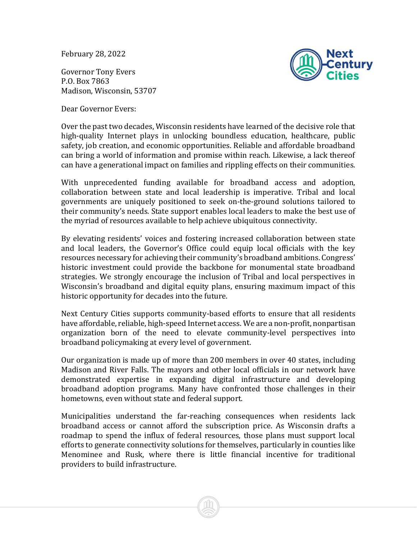February 28, 2022

Governor Tony Evers P.O. Box 7863 Madison, Wisconsin, 53707

Dear Governor Evers:



Over the past two decades, Wisconsin residents have learned of the decisive role that high-quality Internet plays in unlocking boundless education, healthcare, public safety, job creation, and economic opportunities. Reliable and affordable broadband can bring a world of information and promise within reach. Likewise, a lack thereof can have a generational impact on families and rippling effects on their communities.

With unprecedented funding available for broadband access and adoption, collaboration between state and local leadership is imperative. Tribal and local governments are uniquely positioned to seek on-the-ground solutions tailored to their community's needs. State support enables local leaders to make the best use of the myriad of resources available to help achieve ubiquitous connectivity.

By elevating residents' voices and fostering increased collaboration between state and local leaders, the Governor's Office could equip local officials with the key resources necessary for achieving their community's broadband ambitions. Congress' historic investment could provide the backbone for monumental state broadband strategies. We strongly encourage the inclusion of Tribal and local perspectives in Wisconsin's broadband and digital equity plans, ensuring maximum impact of this historic opportunity for decades into the future.

Next Century Cities supports community-based efforts to ensure that all residents have affordable, reliable, high-speed Internet access. We are a non-profit, nonpartisan organization born of the need to elevate community-level perspectives into broadband policymaking at every level of government.

Our organization is made up of more than 200 members in over 40 states, including Madison and River Falls. The mayors and other local officials in our network have demonstrated expertise in expanding digital infrastructure and developing broadband adoption programs. Many have confronted those challenges in their hometowns, even without state and federal support.

Municipalities understand the far-reaching consequences when residents lack broadband access or cannot afford the subscription price. As Wisconsin drafts a roadmap to spend the influx of federal resources, those plans must support local efforts to generate connectivity solutions for themselves, particularly in counties like Menominee and Rusk, where there is little financial incentive for traditional providers to build infrastructure.